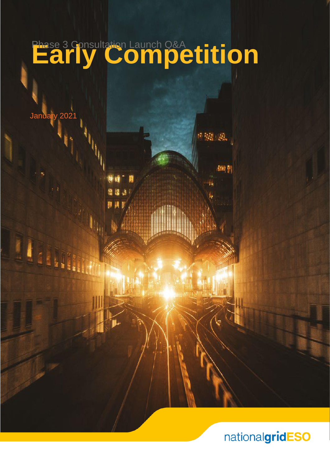# **Phase 3 Consultation Launch Q&A**<br>Early Competition

January 2021



am p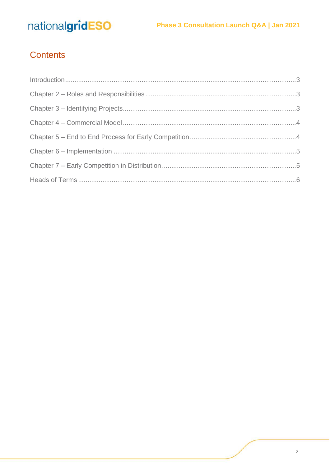### Contents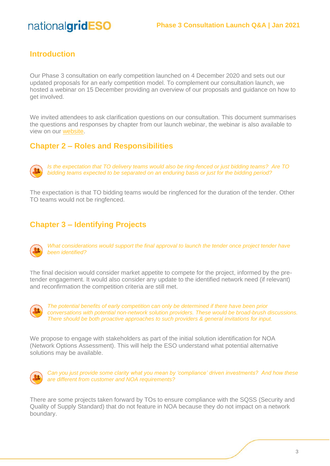#### <span id="page-2-0"></span>**Introduction**

Our Phase 3 consultation on early competition launched on 4 December 2020 and sets out our updated proposals for an early competition model. To complement our consultation launch, we hosted a webinar on 15 December providing an overview of our proposals and guidance on how to get involved.

We invited attendees to ask clarification questions on our consultation. This document summarises the questions and responses by chapter from our launch webinar, the webinar is also available to view on our [website.](https://players.brightcove.net/2346984621001/default_default/index.html?videoId=6216854179001)

#### <span id="page-2-1"></span>**Chapter 2 – Roles and Responsibilities**



*Is the expectation that TO delivery teams would also be ring-fenced or just bidding teams? Are TO bidding teams expected to be separated on an enduring basis or just for the bidding period?*

The expectation is that TO bidding teams would be ringfenced for the duration of the tender. Other TO teams would not be ringfenced.

#### <span id="page-2-2"></span>**Chapter 3 – Identifying Projects**



*What considerations would support the final approval to launch the tender once project tender have been identified?*

The final decision would consider market appetite to compete for the project, informed by the pretender engagement. It would also consider any update to the identified network need (if relevant) and reconfirmation the competition criteria are still met.



*The potential benefits of early competition can only be determined if there have been prior conversations with potential non-network solution providers. These would be broad-brush discussions. There should be both proactive approaches to such providers & general invitations for input.*

We propose to engage with stakeholders as part of the initial solution identification for NOA (Network Options Assessment). This will help the ESO understand what potential alternative solutions may be available.



*Can you just provide some clarity what you mean by 'compliance' driven investments? And how these are different from customer and NOA requirements?*

There are some projects taken forward by TOs to ensure compliance with the SQSS (Security and Quality of Supply Standard) that do not feature in NOA because they do not impact on a network boundary.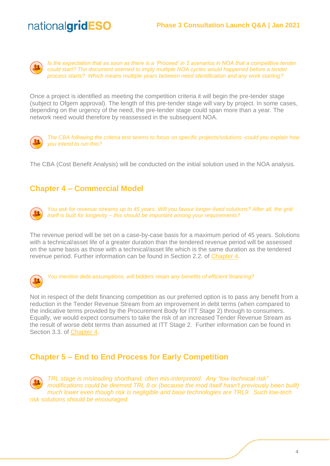

*Is the expectation that as soon as there is a 'Proceed' in 2 scenarios in NOA that a competitive tender could start? The document seemed to imply multiple NOA cycles would happened before a tender process starts? Which means multiple years between need identification and any work starting?*

Once a project is identified as meeting the competition criteria it will begin the pre-tender stage (subject to Ofgem approval). The length of this pre-tender stage will vary by project. In some cases, depending on the urgency of the need, the pre-tender stage could span more than a year. The network need would therefore by reassessed in the subsequent NOA.



*The CBA following the criteria test seems to focus on specific projects/solutions -could you explain how you intend to run this?*

The CBA (Cost Benefit Analysis) will be conducted on the initial solution used in the NOA analysis.

#### <span id="page-3-0"></span>**Chapter 4 – Commercial Model**



*You ask for revenue streams up to 45 years. Will you favour longer-lived solutions? After all, the grid itself is built for longevity – this should be important among your requirements?*

The revenue period will be set on a case-by-case basis for a maximum period of 45 years. Solutions with a technical/asset life of a greater duration than the tendered revenue period will be assessed on the same basis as those with a technical/asset life which is the same duration as the tendered revenue period. Further information can be found in Section 2.2. of [Chapter 4.](https://www.nationalgrideso.com/document/181921/download)



*You mention debt assumptions, will bidders retain any benefits of efficient financing?*

Not in respect of the debt financing competition as our preferred option is to pass any benefit from a reduction in the Tender Revenue Stream from an improvement in debt terms (when compared to the indicative terms provided by the Procurement Body for ITT Stage 2) through to consumers. Equally, we would expect consumers to take the risk of an increased Tender Revenue Stream as the result of worse debt terms than assumed at ITT Stage 2. Further information can be found in Section 3.3. of [Chapter 4.](https://www.nationalgrideso.com/document/181921/download)

#### <span id="page-3-1"></span>**Chapter 5 – End to End Process for Early Competition**

*TRL stage is misleading shorthand, often mis-interpreted. Any "low technical risk" modifications could be deemed TRL 8 or (because the mod itself hasn't previously been built) much lower even though risk is negligible and base technologies are TRL9. Such low-tech risk solutions should be encouraged.*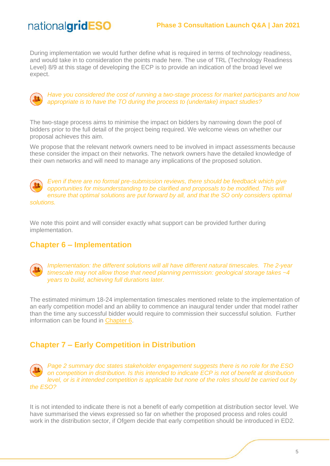During implementation we would further define what is required in terms of technology readiness, and would take in to consideration the points made here. The use of TRL (Technology Readiness Level) 8/9 at this stage of developing the ECP is to provide an indication of the broad level we expect.



*Have you considered the cost of running a two-stage process for market participants and how appropriate is to have the TO during the process to (undertake) impact studies?*

The two-stage process aims to minimise the impact on bidders by narrowing down the pool of bidders prior to the full detail of the project being required. We welcome views on whether our proposal achieves this aim.

We propose that the relevant network owners need to be involved in impact assessments because these consider the impact on their networks. The network owners have the detailed knowledge of their own networks and will need to manage any implications of the proposed solution.



*Even if there are no formal pre-submission reviews, there should be feedback which give opportunities for misunderstanding to be clarified and proposals to be modified. This will ensure that optimal solutions are put forward by all, and that the SO only considers optimal solutions.*

We note this point and will consider exactly what support can be provided further during implementation.

#### <span id="page-4-0"></span>**Chapter 6 – Implementation**



*Implementation: the different solutions will all have different natural timescales. The 2-year timescale may not allow those that need planning permission: geological storage takes ~4 years to build, achieving full durations later.* 

The estimated minimum 18-24 implementation timescales mentioned relate to the implementation of an early competition model and an ability to commence an inaugural tender under that model rather than the time any successful bidder would require to commission their successful solution. Further information can be found in [Chapter 6.](https://www.nationalgrideso.com/document/181931/download)

#### <span id="page-4-1"></span>**Chapter 7 – Early Competition in Distribution**

*Page 2 summary doc states stakeholder engagement suggests there is no role for the ESO on competition in distribution. Is this intended to indicate ECP is not of benefit at distribution level, or is it intended competition is applicable but none of the roles should be carried out by the ESO?*

It is not intended to indicate there is not a benefit of early competition at distribution sector level. We have summarised the views expressed so far on whether the proposed process and roles could work in the distribution sector, if Ofgem decide that early competition should be introduced in ED2.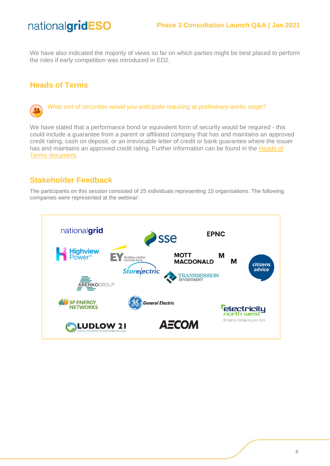We have also indicated the majority of views so far on which parties might be best placed to perform the roles if early competition was introduced in ED2.

#### <span id="page-5-0"></span>**Heads of Terms**



*What sort of securities would you anticipate requiring at preliminary works stage?* 

We have stated that a performance bond or equivalent form of security would be required - this could include a guarantee from a parent or affiliated company that has and maintains an approved credit rating, cash on deposit, or an irrevocable letter of credit or bank guarantee where the issuer has and maintains an approved credit rating. Further information can be found in the Heads of Terms [document.](https://www.nationalgrideso.com/document/181951/download)

#### **Stakeholder Feedback**

The participants on this session consisted of 25 individuals representing 15 organisations. The following companies were represented at the webinar: